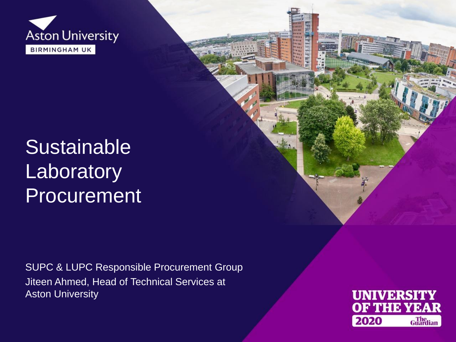

## **Sustainable Laboratory** Procurement

SUPC & LUPC Responsible Procurement Group Jiteen Ahmed, Head of Technical Services at Aston University

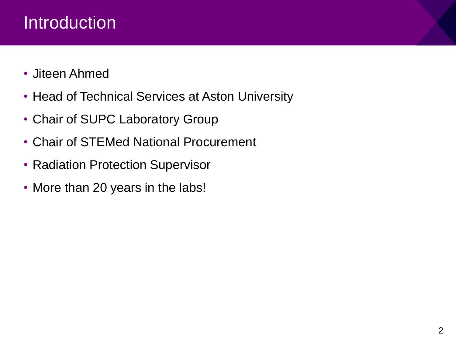## Introduction

- Jiteen Ahmed
- Head of Technical Services at Aston University
- Chair of SUPC Laboratory Group
- Chair of STEMed National Procurement
- Radiation Protection Supervisor
- More than 20 years in the labs!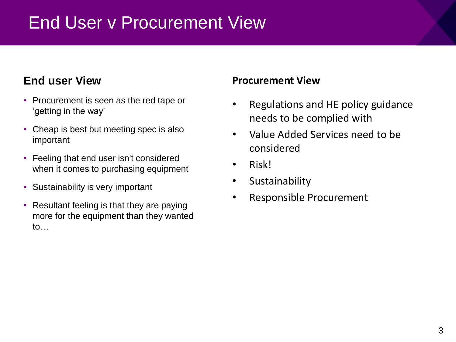### End User v Procurement View

#### **End user View**

- Procurement is seen as the red tape or 'getting in the way'
- Cheap is best but meeting spec is also important
- Feeling that end user isn't considered when it comes to purchasing equipment
- Sustainability is very important
- Resultant feeling is that they are paying more for the equipment than they wanted to…

#### **Procurement View**

- Regulations and HE policy guidance needs to be complied with
- Value Added Services need to be considered
- Risk!
- **Sustainability**
- Responsible Procurement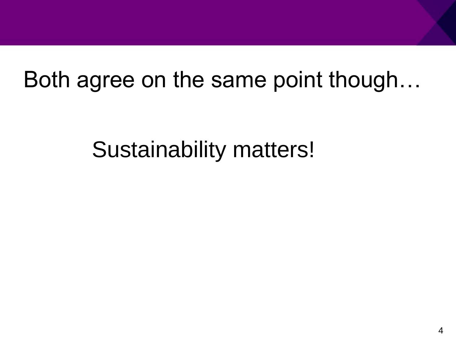# Both agree on the same point though…

Sustainability matters!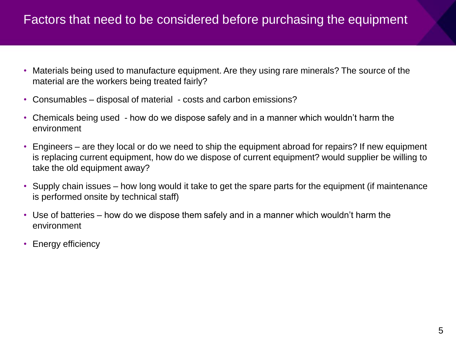#### Factors that need to be considered before purchasing the equipment

- Materials being used to manufacture equipment. Are they using rare minerals? The source of the material are the workers being treated fairly?
- Consumables disposal of material costs and carbon emissions?
- Chemicals being used how do we dispose safely and in a manner which wouldn't harm the environment
- Engineers are they local or do we need to ship the equipment abroad for repairs? If new equipment is replacing current equipment, how do we dispose of current equipment? would supplier be willing to take the old equipment away?
- Supply chain issues how long would it take to get the spare parts for the equipment (if maintenance is performed onsite by technical staff)
- Use of batteries how do we dispose them safely and in a manner which wouldn't harm the environment
- Energy efficiency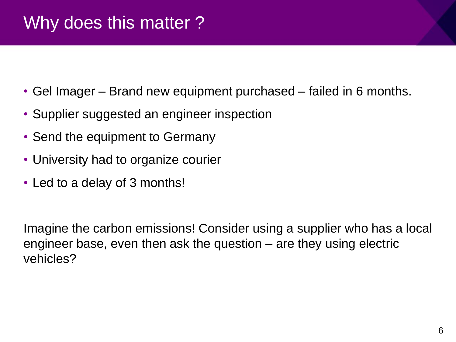- Gel Imager Brand new equipment purchased failed in 6 months.
- Supplier suggested an engineer inspection
- Send the equipment to Germany
- University had to organize courier
- Led to a delay of 3 months!

Imagine the carbon emissions! Consider using a supplier who has a local engineer base, even then ask the question – are they using electric vehicles?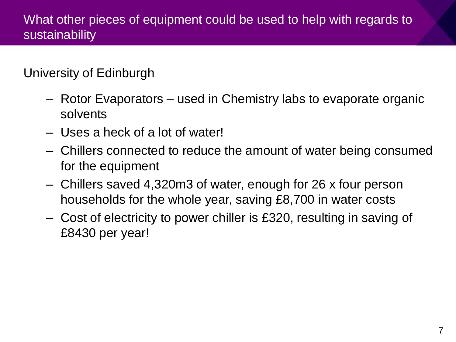### What other pieces of equipment could be used to help with regards to sustainability

#### University of Edinburgh

- Rotor Evaporators used in Chemistry labs to evaporate organic solvents
- Uses a heck of a lot of water!
- Chillers connected to reduce the amount of water being consumed for the equipment
- Chillers saved 4,320m3 of water, enough for 26 x four person households for the whole year, saving £8,700 in water costs
- Cost of electricity to power chiller is £320, resulting in saving of £8430 per year!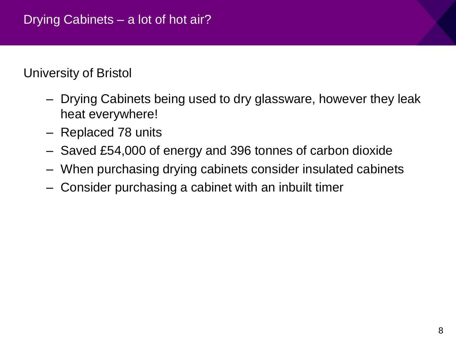#### University of Bristol

- Drying Cabinets being used to dry glassware, however they leak heat everywhere!
- Replaced 78 units
- Saved £54,000 of energy and 396 tonnes of carbon dioxide
- When purchasing drying cabinets consider insulated cabinets
- Consider purchasing a cabinet with an inbuilt timer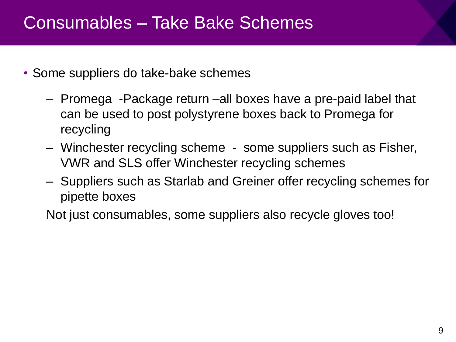### Consumables – Take Bake Schemes

- Some suppliers do take-bake schemes
	- Promega -Package return –all boxes have a pre-paid label that can be used to post polystyrene boxes back to Promega for recycling
	- Winchester recycling scheme some suppliers such as Fisher, VWR and SLS offer Winchester recycling schemes
	- Suppliers such as Starlab and Greiner offer recycling schemes for pipette boxes

Not just consumables, some suppliers also recycle gloves too!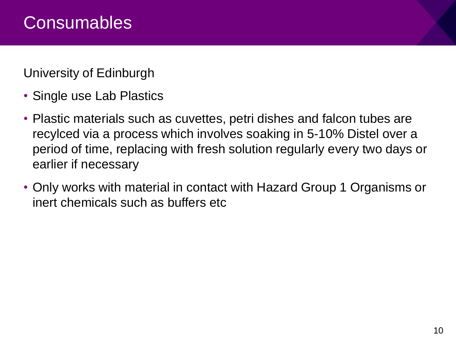University of Edinburgh

- Single use Lab Plastics
- Plastic materials such as cuvettes, petri dishes and falcon tubes are recylced via a process which involves soaking in 5-10% Distel over a period of time, replacing with fresh solution regularly every two days or earlier if necessary
- Only works with material in contact with Hazard Group 1 Organisms or inert chemicals such as buffers etc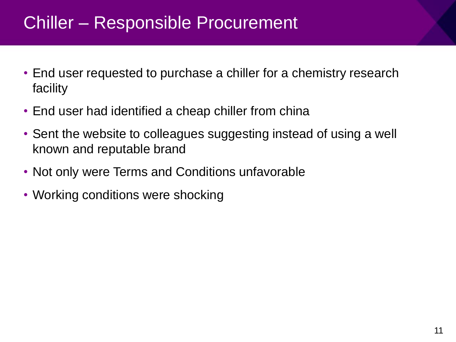### Chiller – Responsible Procurement

- End user requested to purchase a chiller for a chemistry research facility
- End user had identified a cheap chiller from china
- Sent the website to colleagues suggesting instead of using a well known and reputable brand
- Not only were Terms and Conditions unfavorable
- Working conditions were shocking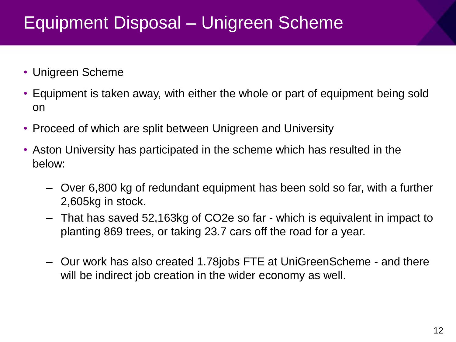## Equipment Disposal – Unigreen Scheme

- Unigreen Scheme
- Equipment is taken away, with either the whole or part of equipment being sold on
- Proceed of which are split between Unigreen and University
- Aston University has participated in the scheme which has resulted in the below:
	- Over 6,800 kg of redundant equipment has been sold so far, with a further 2,605kg in stock.
	- That has saved 52,163kg of CO2e so far which is equivalent in impact to planting 869 trees, or taking 23.7 cars off the road for a year.
	- Our work has also created 1.78jobs FTE at UniGreenScheme and there will be indirect job creation in the wider economy as well.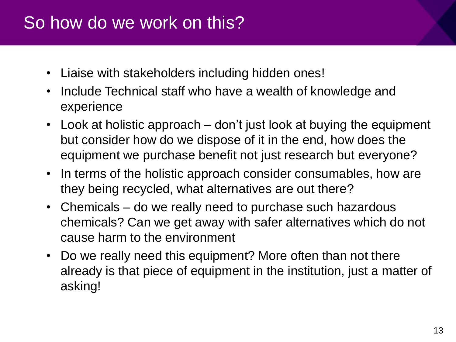### So how do we work on this?

- Liaise with stakeholders including hidden ones!
- Include Technical staff who have a wealth of knowledge and experience
- Look at holistic approach don't just look at buying the equipment but consider how do we dispose of it in the end, how does the equipment we purchase benefit not just research but everyone?
- In terms of the holistic approach consider consumables, how are they being recycled, what alternatives are out there?
- Chemicals do we really need to purchase such hazardous chemicals? Can we get away with safer alternatives which do not cause harm to the environment
- Do we really need this equipment? More often than not there already is that piece of equipment in the institution, just a matter of asking!